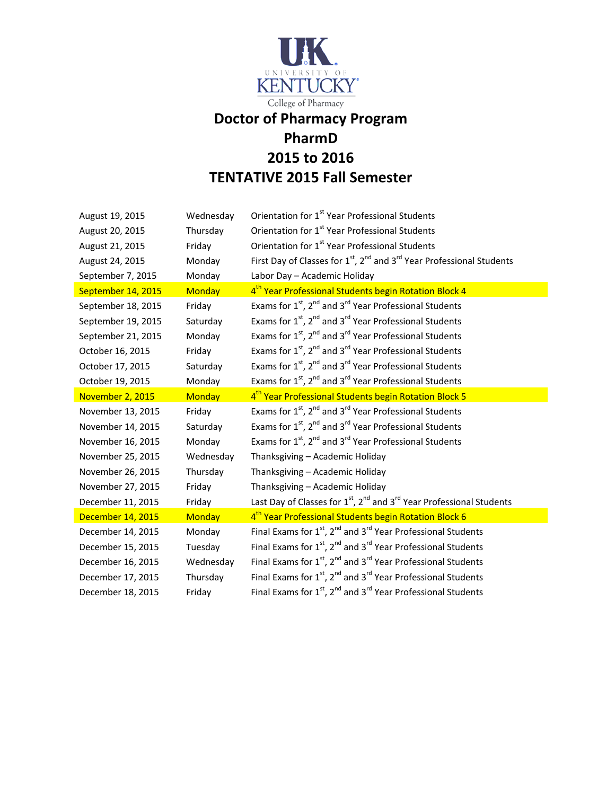

## **PharmD 2015 to 2016 TENTATIVE 2015 Fall Semester**

| August 19, 2015    | Wednesday     | Orientation for 1 <sup>st</sup> Year Professional Students                                               |
|--------------------|---------------|----------------------------------------------------------------------------------------------------------|
| August 20, 2015    | Thursday      | Orientation for 1 <sup>st</sup> Year Professional Students                                               |
| August 21, 2015    | Friday        | Orientation for 1 <sup>st</sup> Year Professional Students                                               |
| August 24, 2015    | Monday        | First Day of Classes for $1^{st}$ , $2^{nd}$ and $3^{rd}$ Year Professional Students                     |
| September 7, 2015  | Monday        | Labor Day - Academic Holiday                                                                             |
| September 14, 2015 | <b>Monday</b> | 4 <sup>th</sup> Year Professional Students begin Rotation Block 4                                        |
| September 18, 2015 | Friday        | Exams for 1 <sup>st</sup> , 2 <sup>nd</sup> and 3 <sup>rd</sup> Year Professional Students               |
| September 19, 2015 | Saturday      | Exams for 1 <sup>st</sup> , 2 <sup>nd</sup> and 3 <sup>rd</sup> Year Professional Students               |
| September 21, 2015 | Monday        | Exams for 1 <sup>st</sup> , 2 <sup>nd</sup> and 3 <sup>rd</sup> Year Professional Students               |
| October 16, 2015   | Friday        | Exams for 1 <sup>st</sup> , 2 <sup>nd</sup> and 3 <sup>rd</sup> Year Professional Students               |
| October 17, 2015   | Saturday      | Exams for 1 <sup>st</sup> , 2 <sup>nd</sup> and 3 <sup>rd</sup> Year Professional Students               |
| October 19, 2015   | Monday        | Exams for 1 <sup>st</sup> , 2 <sup>nd</sup> and 3 <sup>rd</sup> Year Professional Students               |
| November 2, 2015   | <b>Monday</b> | 4 <sup>th</sup> Year Professional Students begin Rotation Block 5                                        |
| November 13, 2015  | Friday        | Exams for 1 <sup>st</sup> , 2 <sup>nd</sup> and 3 <sup>rd</sup> Year Professional Students               |
| November 14, 2015  | Saturday      | Exams for 1 <sup>st</sup> , 2 <sup>nd</sup> and 3 <sup>rd</sup> Year Professional Students               |
| November 16, 2015  | Monday        | Exams for 1 <sup>st</sup> , 2 <sup>nd</sup> and 3 <sup>rd</sup> Year Professional Students               |
| November 25, 2015  | Wednesday     | Thanksgiving - Academic Holiday                                                                          |
| November 26, 2015  | Thursday      | Thanksgiving - Academic Holiday                                                                          |
| November 27, 2015  | Friday        | Thanksgiving - Academic Holiday                                                                          |
|                    |               |                                                                                                          |
| December 11, 2015  | Friday        | Last Day of Classes for 1 <sup>st</sup> , 2 <sup>nd</sup> and 3 <sup>rd</sup> Year Professional Students |
| December 14, 2015  | <b>Monday</b> | 4 <sup>th</sup> Year Professional Students begin Rotation Block 6                                        |
| December 14, 2015  | Monday        | Final Exams for $1^{st}$ , $2^{nd}$ and $3^{rd}$ Year Professional Students                              |
| December 15, 2015  | Tuesday       | Final Exams for $1^{st}$ , $2^{nd}$ and $3^{rd}$ Year Professional Students                              |
| December 16, 2015  | Wednesday     | Final Exams for $1^{st}$ , $2^{nd}$ and $3^{rd}$ Year Professional Students                              |
| December 17, 2015  | Thursday      | Final Exams for $1^{st}$ , $2^{nd}$ and $3^{rd}$ Year Professional Students                              |
| December 18, 2015  | Friday        | Final Exams for $1^{st}$ , $2^{nd}$ and $3^{rd}$ Year Professional Students                              |